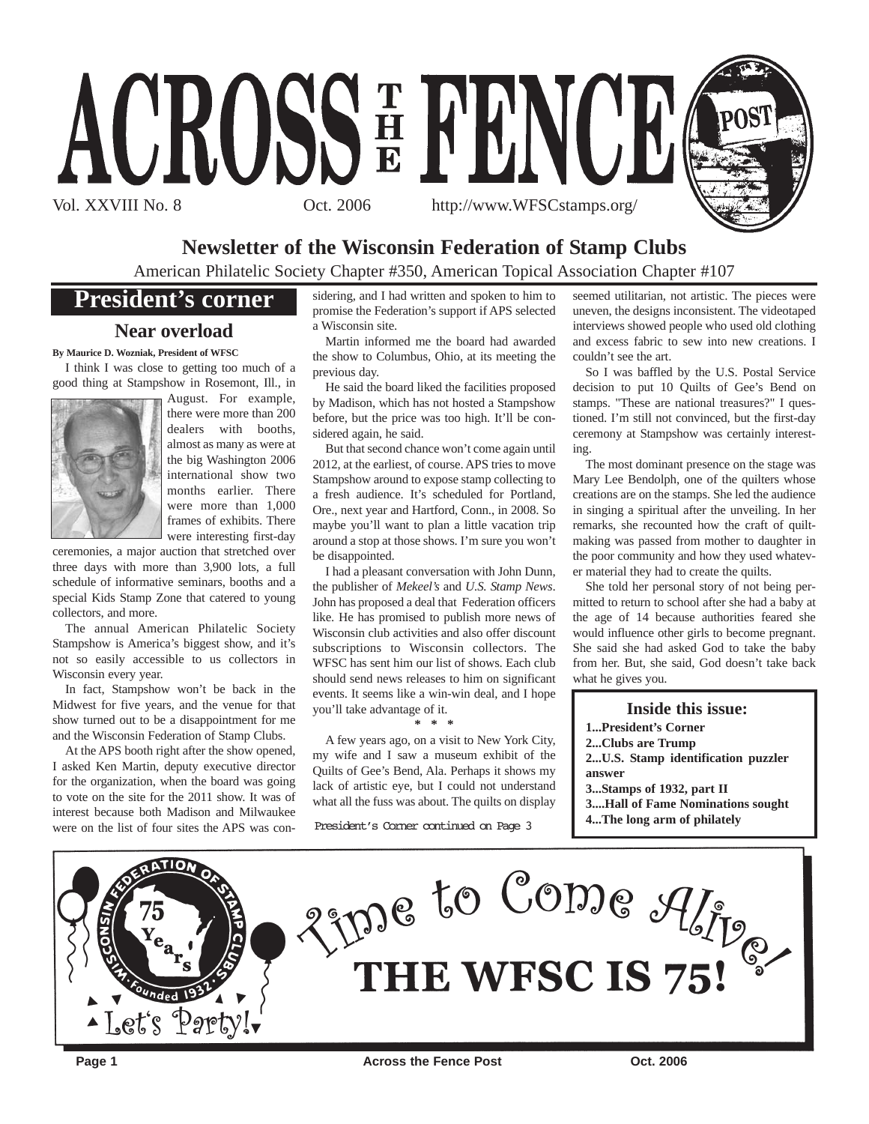

# **Newsletter of the Wisconsin Federation of Stamp Clubs**

American Philatelic Society Chapter #350, American Topical Association Chapter #107

# **President's corner**

# **Near overload**

**By Maurice D. Wozniak, President of WFSC**

I think I was close to getting too much of a good thing at Stampshow in Rosemont, Ill., in



August. For example, there were more than 200 dealers with booths, almost as many as were at the big Washington 2006 international show two months earlier. There were more than 1,000 frames of exhibits. There were interesting first-day

ceremonies, a major auction that stretched over three days with more than 3,900 lots, a full schedule of informative seminars, booths and a special Kids Stamp Zone that catered to young collectors, and more.

The annual American Philatelic Society Stampshow is America's biggest show, and it's not so easily accessible to us collectors in Wisconsin every year.

In fact, Stampshow won't be back in the Midwest for five years, and the venue for that show turned out to be a disappointment for me and the Wisconsin Federation of Stamp Clubs.

At the APS booth right after the show opened, I asked Ken Martin, deputy executive director for the organization, when the board was going to vote on the site for the 2011 show. It was of interest because both Madison and Milwaukee were on the list of four sites the APS was considering, and I had written and spoken to him to promise the Federation's support if APS selected a Wisconsin site.

Martin informed me the board had awarded the show to Columbus, Ohio, at its meeting the previous day.

He said the board liked the facilities proposed by Madison, which has not hosted a Stampshow before, but the price was too high. It'll be considered again, he said.

But that second chance won't come again until 2012, at the earliest, of course. APS tries to move Stampshow around to expose stamp collecting to a fresh audience. It's scheduled for Portland, Ore., next year and Hartford, Conn., in 2008. So maybe you'll want to plan a little vacation trip around a stop at those shows. I'm sure you won't be disappointed.

I had a pleasant conversation with John Dunn, the publisher of *Mekeel's* and *U.S. Stamp News*. John has proposed a deal that Federation officers like. He has promised to publish more news of Wisconsin club activities and also offer discount subscriptions to Wisconsin collectors. The WFSC has sent him our list of shows. Each club should send news releases to him on significant events. It seems like a win-win deal, and I hope you'll take advantage of it.

**\* \* \***

A few years ago, on a visit to New York City, my wife and I saw a museum exhibit of the Quilts of Gee's Bend, Ala. Perhaps it shows my lack of artistic eye, but I could not understand what all the fuss was about. The quilts on display

President's Corner continued on Page 3

seemed utilitarian, not artistic. The pieces were uneven, the designs inconsistent. The videotaped interviews showed people who used old clothing and excess fabric to sew into new creations. I couldn't see the art.

So I was baffled by the U.S. Postal Service decision to put 10 Quilts of Gee's Bend on stamps. "These are national treasures?" I questioned. I'm still not convinced, but the first-day ceremony at Stampshow was certainly interesting.

The most dominant presence on the stage was Mary Lee Bendolph, one of the quilters whose creations are on the stamps. She led the audience in singing a spiritual after the unveiling. In her remarks, she recounted how the craft of quiltmaking was passed from mother to daughter in the poor community and how they used whatever material they had to create the quilts.

She told her personal story of not being permitted to return to school after she had a baby at the age of 14 because authorities feared she would influence other girls to become pregnant. She said she had asked God to take the baby from her. But, she said, God doesn't take back what he gives you.

**Inside this issue: 1...President's Corner 2...Clubs are Trump 2...U.S. Stamp identification puzzler answer**

**3...Stamps of 1932, part II**

- **3....Hall of Fame Nominations sought**
- **4...The long arm of philately**

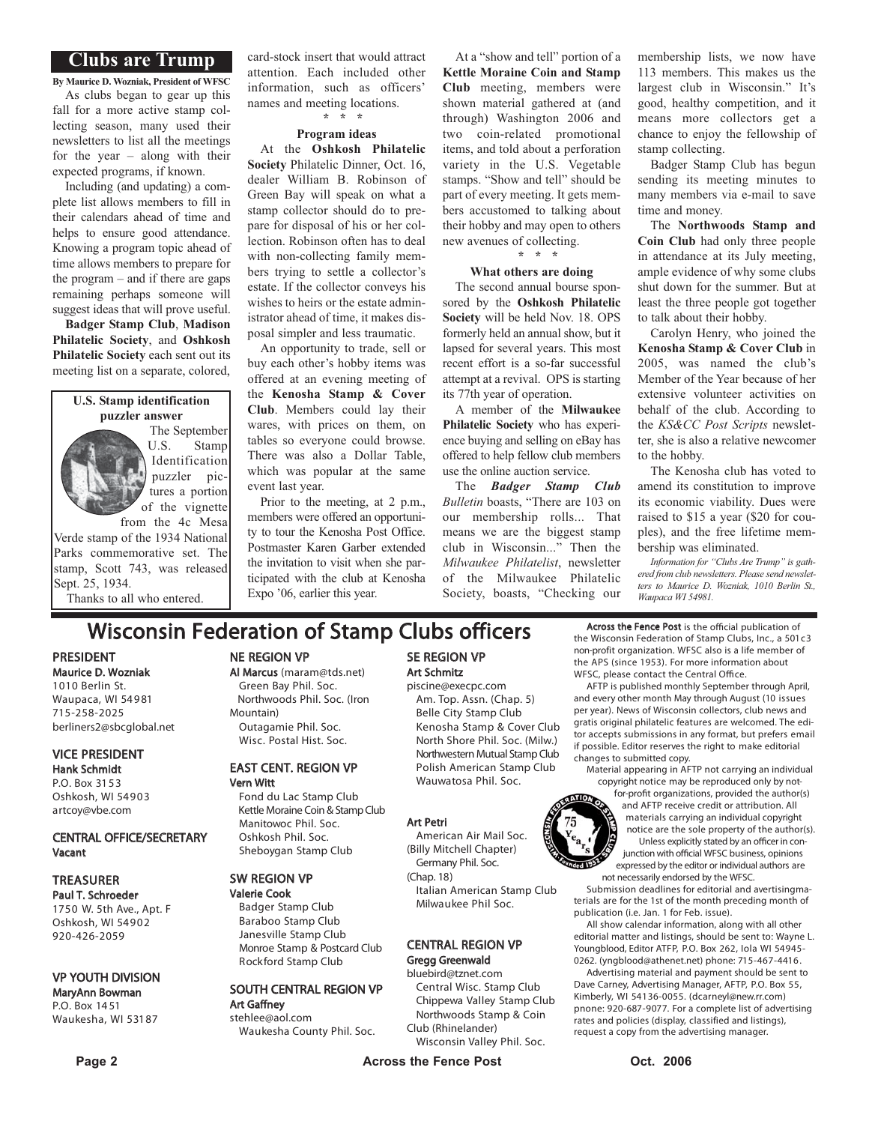# **Clubs are Trump**

**By Maurice D. Wozniak, President of WFSC** As clubs began to gear up this fall for a more active stamp collecting season, many used their newsletters to list all the meetings for the year – along with their expected programs, if known.

Including (and updating) a complete list allows members to fill in their calendars ahead of time and helps to ensure good attendance. Knowing a program topic ahead of time allows members to prepare for the program – and if there are gaps remaining perhaps someone will suggest ideas that will prove useful.

**Badger Stamp Club**, **Madison Philatelic Society**, and **Oshkosh Philatelic Society** each sent out its meeting list on a separate, colored,

#### **U.S. Stamp identification puzzler answer**

The September U.S. Stamp Identification puzzler pictures a portion of the vignette

from the 4c Mesa Verde stamp of the 1934 National Parks commemorative set. The stamp, Scott 743, was released Sept. 25, 1934.

Thanks to all who entered.

card-stock insert that would attract attention. Each included other information, such as officers' names and meeting locations. **\* \* \***

### **Program ideas**

At the **Oshkosh Philatelic Society** Philatelic Dinner, Oct. 16, dealer William B. Robinson of Green Bay will speak on what a stamp collector should do to prepare for disposal of his or her collection. Robinson often has to deal with non-collecting family members trying to settle a collector's estate. If the collector conveys his wishes to heirs or the estate administrator ahead of time, it makes disposal simpler and less traumatic.

An opportunity to trade, sell or buy each other's hobby items was offered at an evening meeting of the **Kenosha Stamp & Cover Club**. Members could lay their wares, with prices on them, on tables so everyone could browse. There was also a Dollar Table, which was popular at the same event last year.

Prior to the meeting, at 2 p.m., members were offered an opportunity to tour the Kenosha Post Office. Postmaster Karen Garber extended the invitation to visit when she participated with the club at Kenosha Expo '06, earlier this year.

At a "show and tell" portion of a **Kettle Moraine Coin and Stamp Club** meeting, members were shown material gathered at (and through) Washington 2006 and two coin-related promotional items, and told about a perforation variety in the U.S. Vegetable stamps. "Show and tell" should be part of every meeting. It gets members accustomed to talking about their hobby and may open to others new avenues of collecting. **\* \* \***

#### **What others are doing**

The second annual bourse sponsored by the **Oshkosh Philatelic Society** will be held Nov. 18. OPS formerly held an annual show, but it lapsed for several years. This most recent effort is a so-far successful attempt at a revival. OPS is starting its 77th year of operation.

A member of the **Milwaukee Philatelic Society** who has experience buying and selling on eBay has offered to help fellow club members use the online auction service.

The *Badger Stamp Club Bulletin* boasts, "There are 103 on our membership rolls... That means we are the biggest stamp club in Wisconsin..." Then the *Milwaukee Philatelist*, newsletter of the Milwaukee Philatelic Society, boasts, "Checking our membership lists, we now have 113 members. This makes us the largest club in Wisconsin." It's good, healthy competition, and it means more collectors get a chance to enjoy the fellowship of stamp collecting.

Badger Stamp Club has begun sending its meeting minutes to many members via e-mail to save time and money.

The **Northwoods Stamp and Coin Club** had only three people in attendance at its July meeting, ample evidence of why some clubs shut down for the summer. But at least the three people got together to talk about their hobby.

Carolyn Henry, who joined the **Kenosha Stamp & Cover Club** in 2005, was named the club's Member of the Year because of her extensive volunteer activities on behalf of the club. According to the *KS&CC Post Scripts* newsletter, she is also a relative newcomer to the hobby.

The Kenosha club has voted to amend its constitution to improve its economic viability. Dues were raised to \$15 a year (\$20 for couples), and the free lifetime membership was eliminated.

*Information for "Clubs Are Trump" is gathered from club newsletters. Please send newsletters to Maurice D. Wozniak, 1010 Berlin St., Waupaca WI 54981.*

# **Wisconsin Federation of Stamp Clubs officers** Across the Fence Post is the official publication of

PRESIDENT Maurice D. Wozniak 1010 Berlin St. Waupaca, WI 54981

715-258-2025 berliners2@sbcglobal.net

#### VICE PRESIDENT Hank Schmidt

P.O. Box 31 5 3 Oshkosh, WI 54903 artcoy@vbe.com

#### CENTRAL OFFICE/SECRETARY Vacant

### **TREASURER**

Paul T. Schroeder 1750 W. 5th Ave., Apt. F Oshkosh, WI 54902 920-426-2059

### VP YOUTH DIVISION

#### MaryAnn Bowman P.O. Box 14 51 Waukesha, WI 53187

NE REGION VP

### Al Marcus (maram@tds.net)

Green Bay Phil. Soc. Northwoods Phil. Soc. (Iron Mountain) Outagamie Phil. Soc. Wisc. Postal Hist. Soc.

#### EAST CENT. REGION VP Vern Witt

Fond du Lac Stamp Club Kettle Moraine Coin & Stamp Club Manitowoc Phil. Soc. Oshkosh Phil. Soc. Sheboygan Stamp Club

### SW REGION VP

Valerie Cook Badger Stamp Club Baraboo Stamp Club Janesville Stamp Club Monroe Stamp & Postcard Club Rockford Stamp Club

#### SOUTH CENTRAL REGION VP Art Gaffney stehlee@aol.com

Waukesha County Phil. Soc.

# SE REGION VP Art Schmitz

piscine@execpc.com Am. Top. Assn. (Chap. 5) Belle City Stamp Club Kenosha Stamp & Cover Club North Shore Phil. Soc. (Milw.) Northwestern Mutual Stamp Club Polish American Stamp Club Wauwatosa Phil. Soc.

#### Art Petri

American Air Mail Soc. (Billy Mitchell Chapter) Germany Phil. Soc.

(Chap. 18) Italian American Stamp Club Milwaukee Phil Soc.

# CENTRAL REGION VP

### Gregg Greenwald

bluebird@tznet.com Central Wisc. Stamp Club Chippewa Valley Stamp Club Northwoods Stamp & Coin Club (Rhinelander)

Wisconsin Valley Phil. Soc.

the Wisconsin Federation of Stamp Clubs, Inc., a 501c3 non-profit organization. WFSC also is a life member of the APS (since 1953). For more information about WFSC, please contact the Central Office.

AFTP is published monthly September through April, and every other month May through August (10 issues per year). News of Wisconsin collectors, club news and gratis original philatelic features are welcomed. The editor accepts submissions in any format, but prefers email if possible. Editor reserves the right to make editorial changes to submitted copy.

Material appearing in AFTP not carrying an individual copyright notice may be reproduced only by not-

for-profit organizations, provided the author(s) and AFTP receive credit or attribution. All materials carrying an individual copyright notice are the sole property of the author(s). Unless explicitly stated by an officer in conjunction with official WFSC business, opinions expressed by the editor or individual authors are not necessarily endorsed by the WFSC.

Submission deadlines for editorial and avertisingmaterials are for the 1st of the month preceding month of publication (i.e. Jan. 1 for Feb. issue).

All show calendar information, along with all other editorial matter and listings, should be sent to: Wayne L. Youngblood, Editor ATFP, P.O. Box 262, Iola WI 54945- 0262. (yngblood@athenet.net) phone: 715-467-4416 .

Advertising material and payment should be sent to Dave Carney, Advertising Manager, AFTP, P.O. Box 55, Kimberly, WI 54136-0055. (dcarneyl@new.rr.com) pnone: 920-687-9077. For a complete list of advertising rates and policies (display, classified and listings), request a copy from the advertising manager.

ded 1932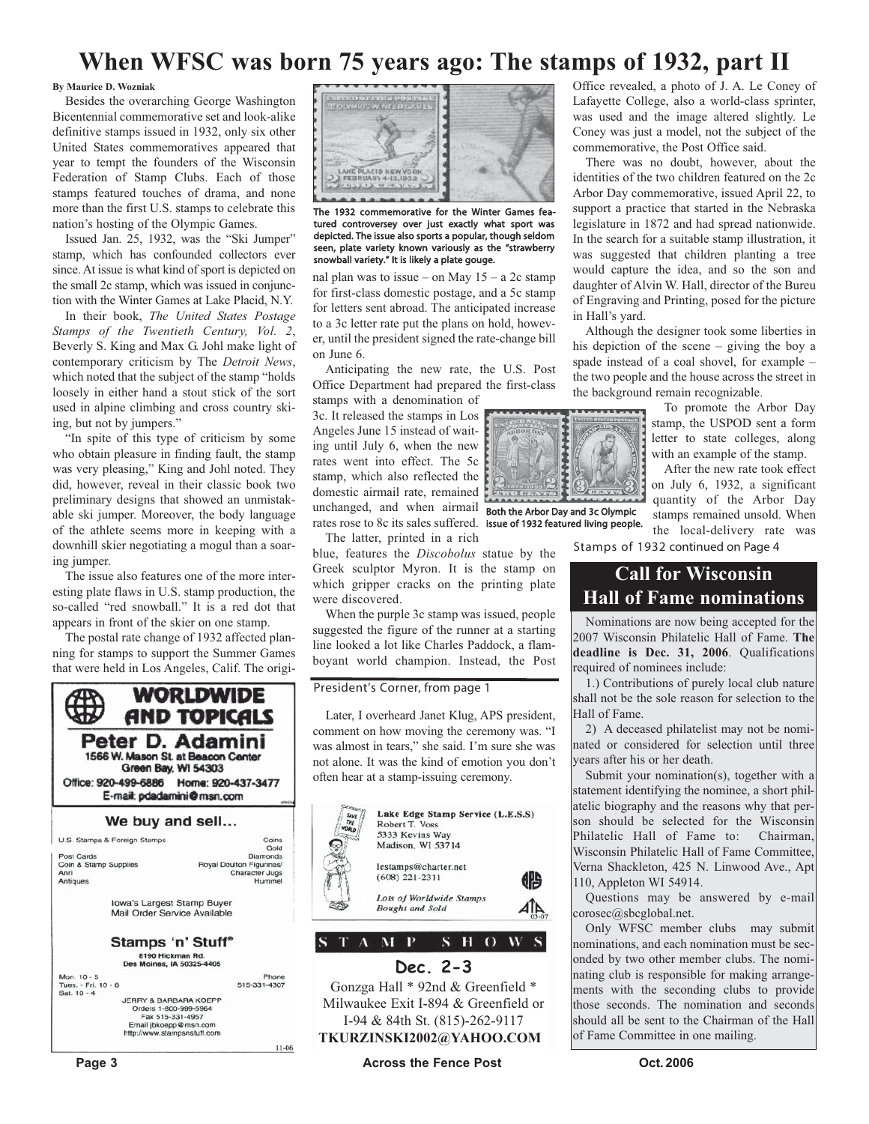# **When WFSC was born 75 years ago: The stamps of 1932, part II**

#### **By Maurice D. Wozniak**

Besides the overarching George Washington Bicentennial commemorative set and look-alike definitive stamps issued in 1932, only six other United States commemoratives appeared that year to tempt the founders of the Wisconsin Federation of Stamp Clubs. Each of those stamps featured touches of drama, and none more than the first U.S. stamps to celebrate this nation's hosting of the Olympic Games.

Issued Jan. 25, 1932, was the "Ski Jumper" stamp, which has confounded collectors ever since. At issue is what kind of sport is depicted on the small 2c stamp, which was issued in conjunction with the Winter Games at Lake Placid, N.Y.

In their book, *The United States Postage Stamps of the Twentieth Century, Vol. 2*, Beverly S. King and Max G. Johl make light of contemporary criticism by The *Detroit News*, which noted that the subject of the stamp "holds loosely in either hand a stout stick of the sort used in alpine climbing and cross country skiing, but not by jumpers."

"In spite of this type of criticism by some who obtain pleasure in finding fault, the stamp was very pleasing," King and Johl noted. They did, however, reveal in their classic book two preliminary designs that showed an unmistakable ski jumper. Moreover, the body language of the athlete seems more in keeping with a downhill skier negotiating a mogul than a soaring jumper.

The issue also features one of the more interesting plate flaws in U.S. stamp production, the so-called "red snowball." It is a red dot that appears in front of the skier on one stamp.

The postal rate change of 1932 affected planning for stamps to support the Summer Games that were held in Los Angeles, Calif. The origi-





The 1932 commemorative for the Winter Games featured controversey over just exactly what sport was depicted. The issue also sports a popular, though seldom seen, plate variety known variously as the "strawberry snowball variety." It is likely a plate gouge.

nal plan was to issue – on May  $15 - a$  2c stamp for first-class domestic postage, and a 5c stamp for letters sent abroad. The anticipated increase to a 3c letter rate put the plans on hold, however, until the president signed the rate-change bill on June 6.

Anticipating the new rate, the U.S. Post Office Department had prepared the first-class

stamps with a denomination of 3c. It released the stamps in Los Angeles June 15 instead of waiting until July 6, when the new rates went into effect. The 5c stamp, which also reflected the domestic airmail rate, remained unchanged, and when airmail **Both the Arbor Day and 3c Olympic** rates rose to 8c its sales suffered. issue of 1932 featured living people. The latter, printed in a rich

blue, features the *Discobolus* statue by the Greek sculptor Myron. It is the stamp on which gripper cracks on the printing plate were discovered.

When the purple 3c stamp was issued, people suggested the figure of the runner at a starting line looked a lot like Charles Paddock, a flamboyant world champion. Instead, the Post

### **President's Corner**, from page 1

Later, I overheard Janet Klug, APS president, comment on how moving the ceremony was. "I was almost in tears," she said. I'm sure she was not alone. It was the kind of emotion you don't often hear at a stamp-issuing ceremony.



Gonzga Hall \* 92nd & Greenfield \* Milwaukee Exit I-894 & Greenfield or I-94 & 84th St. (815)-262-9117 **TKURZINSKI2002@YAHOO.COM**

Office revealed, a photo of J. A. Le Coney of Lafayette College, also a world-class sprinter, was used and the image altered slightly. Le Coney was just a model, not the subject of the commemorative, the Post Office said.

There was no doubt, however, about the identities of the two children featured on the 2c Arbor Day commemorative, issued April 22, to support a practice that started in the Nebraska legislature in 1872 and had spread nationwide. In the search for a suitable stamp illustration, it was suggested that children planting a tree would capture the idea, and so the son and daughter of Alvin W. Hall, director of the Bureu of Engraving and Printing, posed for the picture in Hall's yard.

Although the designer took some liberties in his depiction of the scene – giving the boy a spade instead of a coal shovel, for example – the two people and the house across the street in the background remain recognizable.

> To promote the Arbor Day stamp, the USPOD sent a form letter to state colleges, along with an example of the stamp.

After the new rate took effect on July 6, 1932, a significant quantity of the Arbor Day stamps remained unsold. When the local-delivery rate was

**Stamps of 1932** continued on Page 4

# **Call for Wisconsin Hall of Fame nominations**

Nominations are now being accepted for the 2007 Wisconsin Philatelic Hall of Fame. **The deadline is Dec. 31, 2006**. Qualifications required of nominees include:

1.) Contributions of purely local club nature shall not be the sole reason for selection to the Hall of Fame.

2) A deceased philatelist may not be nominated or considered for selection until three years after his or her death.

Submit your nomination(s), together with a statement identifying the nominee, a short philatelic biography and the reasons why that person should be selected for the Wisconsin Philatelic Hall of Fame to: Chairman, Wisconsin Philatelic Hall of Fame Committee, Verna Shackleton, 425 N. Linwood Ave., Apt 110, Appleton WI 54914.

Questions may be answered by e-mail corosec@sbcglobal.net.

Only WFSC member clubs may submit nominations, and each nomination must be seconded by two other member clubs. The nominating club is responsible for making arrangements with the seconding clubs to provide those seconds. The nomination and seconds should all be sent to the Chairman of the Hall of Fame Committee in one mailing.